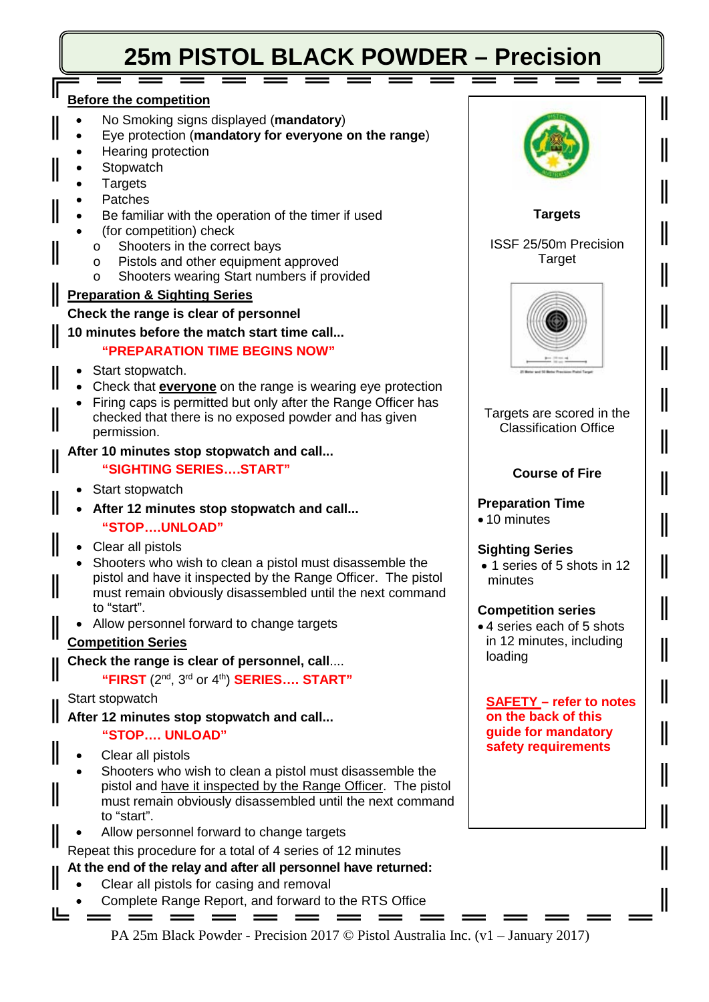# **25m PISTOL BLACK POWDER – Precision**

# **Before the competition**

- No Smoking signs displayed (**mandatory**)
- Eye protection (**mandatory for everyone on the range**)
- Hearing protection
- **Stopwatch**
- **Targets**
- **Patches**
- Be familiar with the operation of the timer if used
- (for competition) check
	- o Shooters in the correct bays<br>  $\circ$  Pistols and other equipment
	- Pistols and other equipment approved
	- Shooters wearing Start numbers if provided

#### **Preparation & Sighting Series**

#### **Check the range is clear of personnel**

## **10 minutes before the match start time call...**

# **"PREPARATION TIME BEGINS NOW"**

- Start stopwatch.
- Check that **everyone** on the range is wearing eye protection
- Firing caps is permitted but only after the Range Officer has checked that there is no exposed powder and has given permission.

## **After 10 minutes stop stopwatch and call...**

## **"SIGHTING SERIES….START"**

• Start stopwatch

II

- **After 12 minutes stop stopwatch and call... "STOP….UNLOAD"**
- Clear all pistols
- Shooters who wish to clean a pistol must disassemble the pistol and have it inspected by the Range Officer. The pistol must remain obviously disassembled until the next command to "start".
- Allow personnel forward to change targets

## **Competition Series**

## **Check the range is clear of personnel, call**....

**"FIRST** (2nd, 3rd or 4th ) **SERIES…. START"**

## Start stopwatch

**After 12 minutes stop stopwatch and call... "STOP…. UNLOAD"**

- Clear all pistols
- Shooters who wish to clean a pistol must disassemble the pistol and have it inspected by the Range Officer. The pistol must remain obviously disassembled until the next command to "start".
- Allow personnel forward to change targets
- Repeat this procedure for a total of 4 series of 12 minutes

## **At the end of the relay and after all personnel have returned:**

- Clear all pistols for casing and removal
- Complete Range Report, and forward to the RTS Office